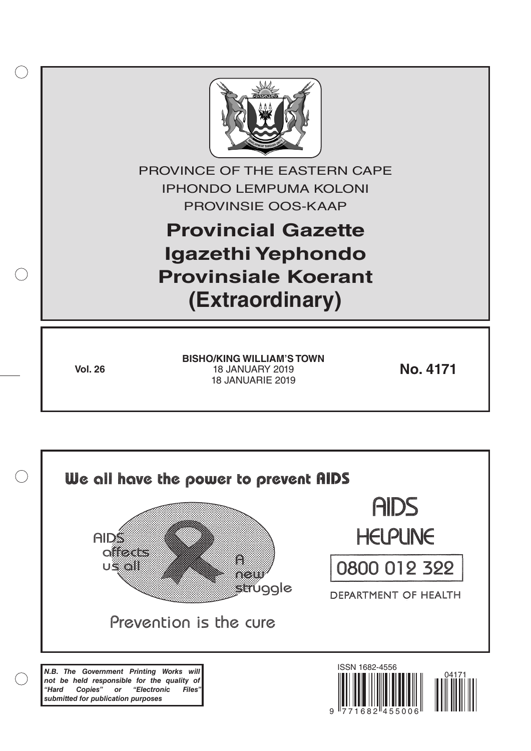

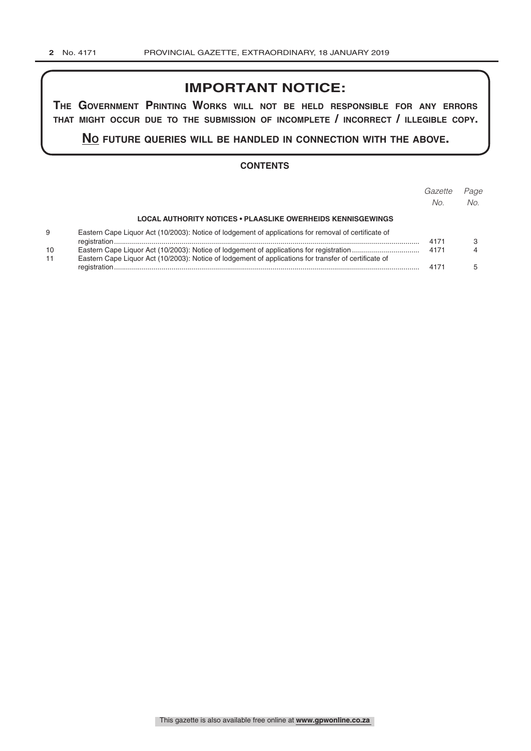# **IMPORTANT NOTICE:**

**The GovernmenT PrinTinG Works Will noT be held resPonsible for any errors ThaT miGhT occur due To The submission of incomPleTe / incorrecT / illeGible coPy.**

**no fuTure queries Will be handled in connecTion WiTh The above.**

### **CONTENTS**

|    |                                                                                                       | Gazette<br>No. | Paae<br>No. |
|----|-------------------------------------------------------------------------------------------------------|----------------|-------------|
|    | <b>LOCAL AUTHORITY NOTICES • PLAASLIKE OWERHEIDS KENNISGEWINGS</b>                                    |                |             |
| 9  | Eastern Cape Liquor Act (10/2003): Notice of lodgement of applications for removal of certificate of  | 4171           |             |
| 10 |                                                                                                       | 4171           |             |
| 11 | Eastern Cape Liquor Act (10/2003): Notice of lodgement of applications for transfer of certificate of | 4171           |             |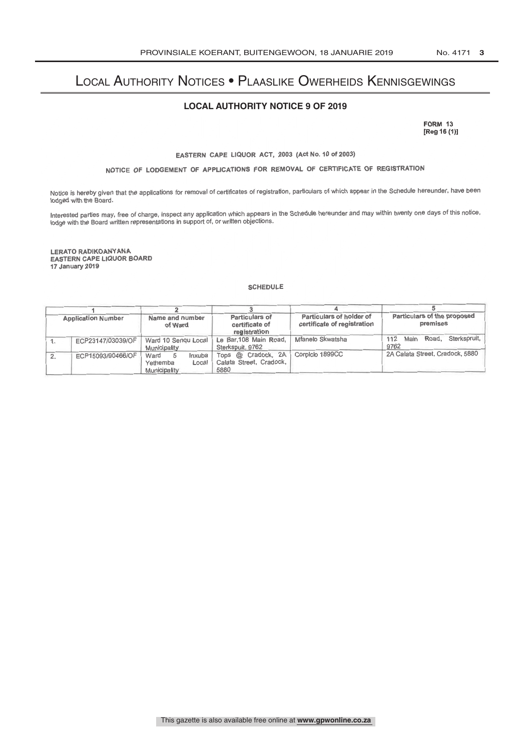# Local Authority Notices • Plaaslike Owerheids Kennisgewings

### **LOCAL AUTHORITY NOTICE 9 OF 2019**

FORM 13 [Reg 16 (1)]

#### EASTERN CAPE LIQUOR ACT, 2003 (Act No. 10 of 2003)

### NOTICE OF LODGEMENT OF APPLICATIONS FOR REMOVAL OF CERTIFICATE OF REGISTRATION

Notice is hereby given that the applications for removal of certificates of registration, particulars of which appear in the Schedule hereunder, have been<br>lodged with the Board.

Interested parties may, free of charge, inspect any application which appears in the schedule heredinder and may widin twenty one days of this house,<br>lodge with the Board written representations in support of, or written o

LERATO RADIKOANYANA EASTERN CAPE LIQUOR BOARD 17 January 2019

## SCHEDULE

| <b>Application Number</b> |                   |                                                          | Particulars of<br>certificate of<br>registration      |                                                         | Particulars of the proposed<br>premises      |  |
|---------------------------|-------------------|----------------------------------------------------------|-------------------------------------------------------|---------------------------------------------------------|----------------------------------------------|--|
|                           |                   | Name and number<br>of Ward                               |                                                       | Particulars of holder of<br>certificate of registration |                                              |  |
|                           | ECP23147/03039/OF | Ward 10 Sengu Local<br>Municipality                      | Le Bar, 108 Main Road,<br>Sterkspuit, 9762            | Mfanelo Skwatsha                                        | Sterkspruit,<br>Road,<br>112<br>Main<br>9762 |  |
|                           | ECP15093/90466/OF | Inxuba<br>Ward<br>5<br>Yethemba<br>Local<br>Municipality | Tops @ Cradock, 2A<br>Calata Street, Cradock,<br>5880 | Corplclo 1899CC                                         | 2A Calata Street, Cradock, 5880              |  |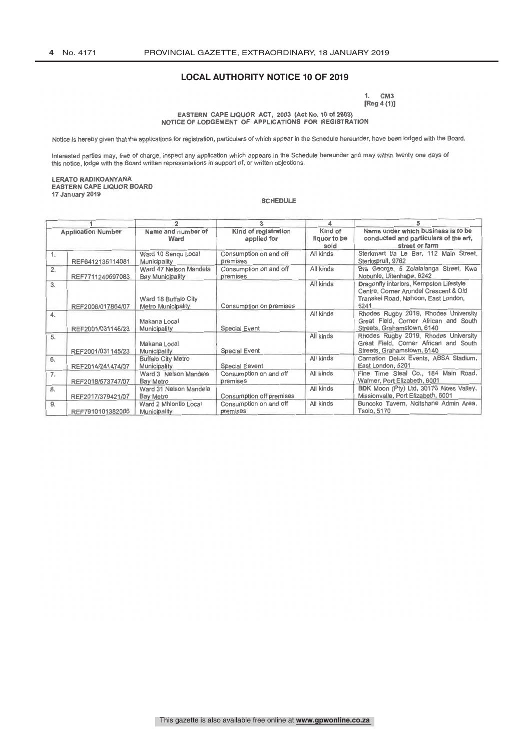### **LOCAL AUTHORITY NOTICE 10 OF 2019**

1. CM3<br>[Reg 4 (1)]  $\ddot{\phantom{1}}$ 

EASTERN CAPE LIQUOR ACT, 2003 (Act No. 10 of 2003) NOTICE OF LODGEMENT OF APPLICATIONS FOR REGISTRATION

Notice is hereby given that the applications for registration, particulars of which appear in the Schedule hereunder, have been lodged with the Board.

interested parties may, free of charge, inspect any application which appears in the Schedule hereunder and may within twenty one days of<br>this notice, lodge with the Board written representations in support of, or written

LERATO RADIKOANYANA EASTERN CAPE LIQUOR BOARD 17 January 2019

#### SCHEDULE

| <b>Application Number</b> |                   | Name and number of<br>Ward                        | Kind of registration<br>applied for | Kind of<br>liquor to be<br>sold | Name under which business is to be<br>conducted and particulars of the erf,<br>street or farm                                   |  |
|---------------------------|-------------------|---------------------------------------------------|-------------------------------------|---------------------------------|---------------------------------------------------------------------------------------------------------------------------------|--|
| 1.5                       | REF6412135114081  | Ward 10 Sengu Local<br>Municipality               | Consumption on and off<br>premises  | All kinds                       | Sterkmart t/a Le Bar, 112 Main Street,<br>Sterkspruit, 9762                                                                     |  |
| 2.                        | REF7711240597083  | Ward 47 Nelson Mandela<br><b>Bay Municipality</b> | Consumption on and off<br>premises  | All kinds                       | Bra George, 5 Zolalalanga Street, Kwa<br>Nobuhle, Uitenhage, 6242                                                               |  |
| 3.                        | REF2006/017864/07 | Ward 18 Buffalo City<br>Metro Municipality        | Consumption on premises             | All kinds                       | Dragonfly interiors, Kempston Lifestyle<br>Centre, Corner Arundel Crescent & Old<br>Transkei Road, Nahoon, East London,<br>5241 |  |
| 4.                        | REF2001/031145/23 | Makana Local<br>Municipality                      | Special Event                       | All kinds                       | Rhodes Rugby 2019, Rhodes University<br>Great Field, Corner African and South<br>Streets, Grahamstown, 6140                     |  |
| 5.                        | REF2001/031145/23 | Makana Local<br>Municipality                      | <b>Special Event</b>                | All kinds                       | Rhodes Rugby 2019, Rhodes University<br>Great Field, Corner African and South<br>Streets, Grahamstown, 6140                     |  |
| 6.                        | REF2014/241474/07 | <b>Buffalo City Metro</b><br>Municipality         | <b>Special Eevent</b>               | All kinds                       | Carnation Delux Events, ABSA Stadium,<br>East London, 5201                                                                      |  |
| 7.                        | REF2018/573747/07 | Ward 3 Nelson Mandela<br>Bay Metro                | Consumption on and off<br>premises  | All kinds                       | Fine Time Steal Co., 184 Main Road,<br>Walmer, Port Elizabeth, 6001                                                             |  |
| 8.                        | REF2017/379421/07 | Ward 31 Nelson Mandela<br>Bay Metro               | Consumption off premises            | All kinds                       | BDK Moon (Pty) Ltd, 30170 Aloes Valley,<br>Missionvalle, Port Elizabeth, 6001                                                   |  |
| 9.                        | REF7910101382086  | Ward 2 Mhlontlo Local<br>Municipality             | Consumption on and off<br>premises  | All kinds                       | Buncoko Tavern, Ncitshane Admin Area,<br><b>Tsolo, 5170</b>                                                                     |  |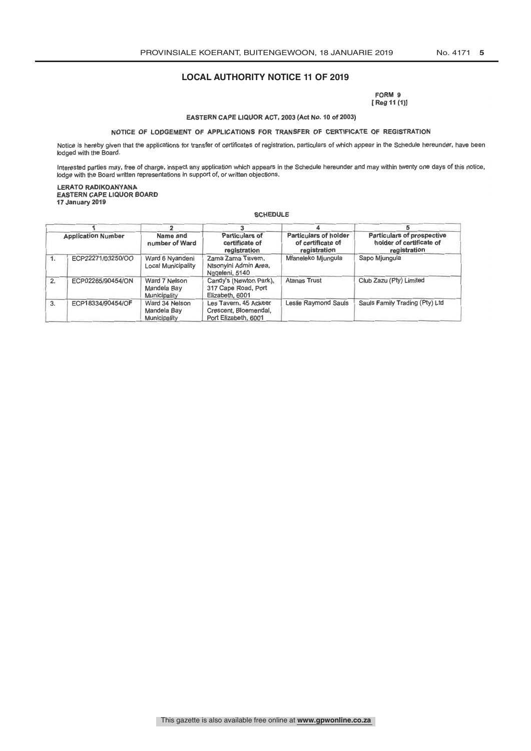### **LOCAL AUTHORITY NOTICE 11 OF 2019**

FORM 9 [ Reg 11 (1)]

## EASTERN CAPE LIQUOR ACT, 2003 (Act No. 10 of 2003)

NOTICE OF LODGEMENT OF APPLICATIONS FOR TRANSFER OF CERTIFICATE OF REGISTRATION Notice is hereby given that the applications for transfer of certificates of registration, particulars of which appear in the Schedule hereunder, have been<br>lodged with the Board.

Interested parties may, free of charge, inspect any application which appears in the Schedule hereunder and may within twenty one days of this notice,<br>lodge with the Board written representations in support of, or written

#### LERATO RADIKOANYANA<br>---------------------------EASTERN CAPE LIQUOR BOARD 17 January 2019

**SCHEDULE** 

| <b>Application Number</b> |                   |                                               |                                                                        |                                                                   | Particulars of prospective<br>holder of certificate of<br>registration |
|---------------------------|-------------------|-----------------------------------------------|------------------------------------------------------------------------|-------------------------------------------------------------------|------------------------------------------------------------------------|
|                           |                   | Name and<br>number of Ward                    | Particulars of<br>certificate of<br>registration                       | <b>Particulars of holder</b><br>of certificate of<br>registration |                                                                        |
| 1.                        | ECP22271/03250/OO | Ward 6 Nyandeni<br><b>Local Municipality</b>  | Zama Zama Tavern,<br>Ntsonyini Admin Area,<br>Ngqeleni, 5140           | Mfaneleko Mjungula                                                | Sapo Mjungula                                                          |
| 2.                        | ECP02265/90454/ON | Ward 7 Nelson<br>Mandela Bay<br>Municipality  | Candy's (Newton Park),<br>317 Cape Road, Port<br>Elizabeth, 6001       | <b>Atanas Trust</b>                                               | Club Zazu (Pty) Limited                                                |
| 3.                        | ECP18334/90454/OF | Ward 34 Nelson<br>Mandela Bay<br>Municipality | Les Tavern, 45 Ackeer<br>Crescent, Bloemendal,<br>Port Elizabeth, 6001 | Leslie Raymond Sauls                                              | Sauls Family Trading (Pty) Ltd                                         |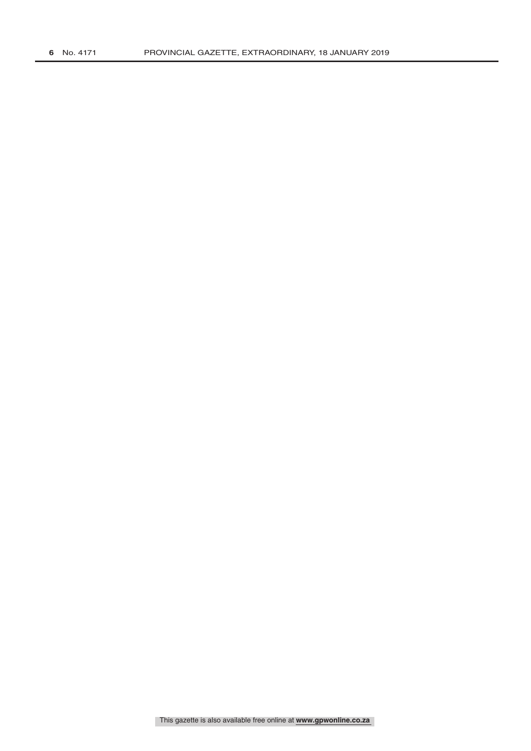This gazette is also available free online at **www.gpwonline.co.za**